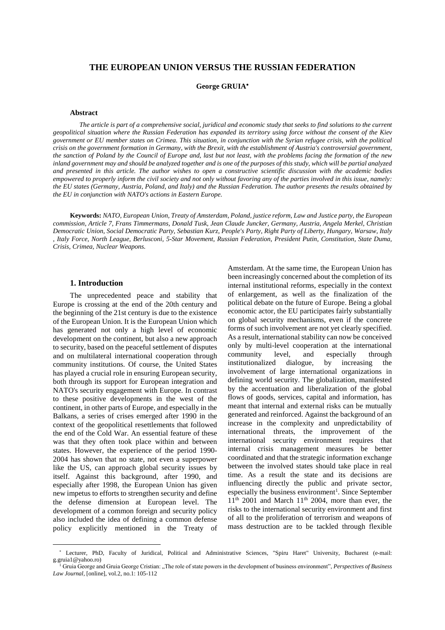# **THE EUROPEAN UNION VERSUS THE RUSSIAN FEDERATION**

**George GRUIA**

## **Abstract**

The article is part of a comprehensive social, juridical and economic study that seeks to find solutions to the current geopolitical situation where the Russian Federation has expanded its territory using force without the consent of the Kiev government or EU member states on Crimea. This situation, in conjunction with the Syrian refugee crisis, with the political crisis on the government formation in Germany, with the Brexit, with the establishment of Austria's controversial government, the sanction of Poland by the Council of Europe and, last but not least, with the problems facing the formation of the new inland government may and should be analyzed together and is one of the purposes of this study, which will be partial analyzed and presented in this article. The author wishes to open a constructive scientific discussion with the academic bodies empowered to properly inform the civil society and not only without favoring any of the parties involved in this issue, namely: the EU states (Germany, Austria, Poland, and Italy) and the Russian Federation. The author presents the results obtained by *the EU in conjunction with NATO's actions in Eastern Europe.*

**Keywords:** *NATO, European Union, Treaty of Amsterdam, Poland, justice reform, Law and Justice party, the European commission, Article 7, Frans Timmermans, Donald Tusk, Jean Claude Juncker, Germany, Austria, Angela Merkel, Christian* Democratic Union, Social Democratic Party, Sebastian Kurz, People's Party, Right Party of Liberty, Hungary, Warsaw, Italy , Italy Force, North League, Berlusconi, 5-Star Movement, Russian Federation, President Putin, Constitution, State Duma, *Crisis, Crimea, Nuclear Weapons.*

# **1. Introduction**

 $\overline{a}$ 

The unprecedented peace and stability that Europe is crossing at the end of the 20th century and the beginning of the 21st century is due to the existence of the European Union. It is the European Union which has generated not only a high level of economic development on the continent, but also a new approach to security, based on the peaceful settlement of disputes and on multilateral international cooperation through community institutions. Of course, the United States has played a crucial role in ensuring European security, both through its support for European integration and NATO's security engagement with Europe. In contrast to these positive developments in the west of the continent, in other parts of Europe, and especially in the Balkans, a series of crises emerged after 1990 in the context of the geopolitical resettlements that followed the end of the Cold War. An essential feature of these was that they often took place within and between states. However, the experience of the period 1990- 2004 has shown that no state, not even a superpower like the US, can approach global security issues by itself. Against this background, after 1990, and especially after 1998, the European Union has given new impetus to efforts to strengthen security and define the defense dimension at European level. The development of a common foreign and security policy also included the idea of defining a common defense policy explicitly mentioned in the Treaty of

Amsterdam. At the same time, the European Union has been increasingly concerned about the completion of its internal institutional reforms, especially in the context of enlargement, as well as the finalization of the political debate on the future of Europe. Being a global economic actor, the EU participates fairly substantially on global security mechanisms, even if the concrete forms of such involvement are not yet clearly specified. As a result, international stability can now be conceived only by multi-level cooperation at the international community level, and especially through institutionalized dialogue, by increasing the involvement of large international organizations in defining world security. The globalization, manifested by the accentuation and liberalization of the global flows of goods, services, capital and information, has meant that internal and external risks can be mutually generated and reinforced. Against the background of an increase in the complexity and unpredictability of international threats, the improvement of the international security environment requires that internal crisis management measures be better coordinated and that the strategic information exchange between the involved states should take place in real time. As a result the state and its decisions are influencing directly the public and private sector, especially the business environment<sup>1</sup>. Since September  $11<sup>th</sup>$  2001 and March  $11<sup>th</sup>$  2004, more than ever, the risks to the international security environment and first of all to the proliferation of terrorism and weapons of mass destruction are to be tackled through flexible

Lecturer, PhD, Faculty of Juridical, Political and Administrative Sciences, "Spiru Haret" University, Bucharest (e-mail: g.gruia1@yahoo.ro)

<sup>1</sup> Gruia George and Gruia George Cristian: "The role of state powers in the development of business environment", *Perspectives of Business Law Journal*, [online], vol.2, no.1: 105-112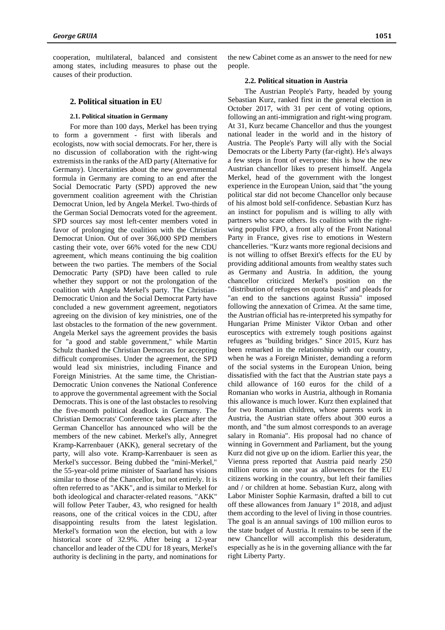cooperation, multilateral, balanced and consistent among states, including measures to phase out the causes of their production.

### **2. Political situation in EU**

#### **2.1. Political situation in Germany**

For more than 100 days, Merkel has been trying to form a government - first with liberals and ecologists, now with social democrats. For her, there is no discussion of collaboration with the right-wing extremists in the ranks of the AfD party (Alternative for Germany). Uncertainties about the new governmental formula in Germany are coming to an end after the Social Democratic Party (SPD) approved the new government coalition agreement with the Christian Democrat Union, led by Angela Merkel. Two-thirds of the German Social Democrats voted for the agreement. SPD sources say most left-center members voted in favor of prolonging the coalition with the Christian Democrat Union. Out of over 366,000 SPD members casting their vote, over 66% voted for the new CDU agreement, which means continuing the big coalition between the two parties. The members of the Social Democratic Party (SPD) have been called to rule whether they support or not the prolongation of the coalition with Angela Merkel's party. The Christian-Democratic Union and the Social Democrat Party have concluded a new government agreement, negotiators agreeing on the division of key ministries, one of the last obstacles to the formation of the new government. Angela Merkel says the agreement provides the basis for "a good and stable government," while Martin Schulz thanked the Christian Democrats for accepting difficult compromises. Under the agreement, the SPD would lead six ministries, including Finance and Foreign Ministries. At the same time, the Christian-Democratic Union convenes the National Conference to approve the governmental agreement with the Social Democrats. This is one of the last obstacles to resolving the five-month political deadlock in Germany. The Christian Democrats' Conference takes place after the German Chancellor has announced who will be the members of the new cabinet. Merkel's ally, Annegret Kramp-Karrenbauer (AKK), general secretary of the party, will also vote. Kramp-Karrenbauer is seen as Merkel's successor. Being dubbed the "mini-Merkel," the 55-year-old prime minister of Saarland has visions similar to those of the Chancellor, but not entirely. It is often referred to as "AKK", and is similar to Merkel for both ideological and character-related reasons. "AKK" will follow Peter Tauber, 43, who resigned for health reasons, one of the critical voices in the CDU, after disappointing results from the latest legislation. Merkel's formation won the election, but with a low historical score of 32.9%. After being a 12-year chancellor and leader of the CDU for 18 years, Merkel's authority is declining in the party, and nominations for the new Cabinet come as an answer to the need for new people.

### **2.2. Political situation in Austria**

The Austrian People's Party, headed by young Sebastian Kurz, ranked first in the general election in October 2017, with 31 per cent of voting options, following an anti-immigration and right-wing program. At 31, Kurz became Chancellor and thus the youngest national leader in the world and in the history of Austria. The People's Party will ally with the Social Democrats or the Liberty Party (far-right). He's always a few steps in front of everyone: this is how the new Austrian chancellor likes to present himself. Angela Merkel, head of the government with the longest experience in the European Union, said that "the young political star did not become Chancellor only because of his almost bold self-confidence. Sebastian Kurz has an instinct for populism and is willing to ally with partners who scare others. Its coalition with the rightwing populist FPO, a front ally of the Front National Party in France, gives rise to emotions in Western chancelleries. "Kurz wants more regional decisions and is not willing to offset Brexit's effects for the EU by providing additional amounts from wealthy states such as Germany and Austria. In addition, the young chancellor criticized Merkel's position on the "distribution of refugees on quota basis" and pleads for "an end to the sanctions against Russia" imposed following the annexation of Crimea. At the same time, the Austrian official has re-interpreted his sympathy for Hungarian Prime Minister Viktor Orban and other eurosceptics with extremely tough positions against refugees as "building bridges." Since 2015, Kurz has been remarked in the relationship with our country, when he was a Foreign Minister, demanding a reform of the social systems in the European Union, being dissatisfied with the fact that the Austrian state pays a child allowance of 160 euros for the child of a Romanian who works in Austria, although in Romania this allowance is much lower. Kurz then explained that for two Romanian children, whose parents work in Austria, the Austrian state offers about 300 euros a month, and "the sum almost corresponds to an average salary in Romania". His proposal had no chance of winning in Government and Parliament, but the young Kurz did not give up on the idiom. Earlier this year, the Vienna press reported that Austria paid nearly 250 million euros in one year as allowences for the EU citizens working in the country, but left their families and / or children at home. Sebastian Kurz, along with Labor Minister Sophie Karmasin, drafted a bill to cut off these allowances from January 1<sup>st</sup> 2018, and adjust them according to the level of living in those countries. The goal is an annual savings of 100 million euros to the state budget of Austria. It remains to be seen if the new Chancellor will accomplish this desideratum, especially as he is in the governing alliance with the far right Liberty Party.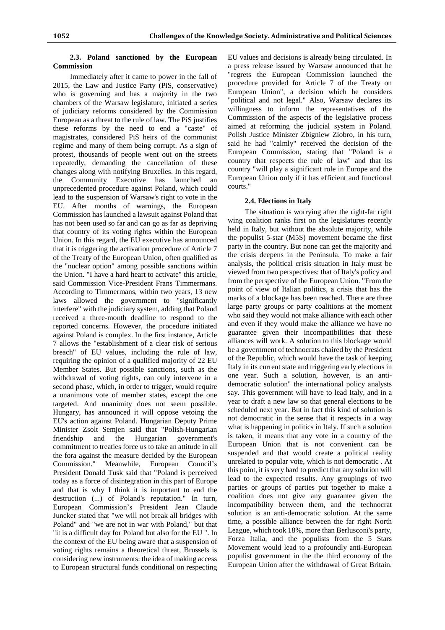## **2.3. Poland sanctioned by the European Commission**

Immediately after it came to power in the fall of 2015, the Law and Justice Party (PiS, conservative) who is governing and has a majority in the two chambers of the Warsaw legislature, initiated a series of judiciary reforms considered by the Commission European as a threat to the rule of law. The PiS justifies these reforms by the need to end a "caste" of magistrates, considered PiS heirs of the communist regime and many of them being corrupt. As a sign of protest, thousands of people went out on the streets repeatedly, demanding the cancellation of these changes along with notifying Bruxelles. In this regard, the Community Executive has launched an unprecedented procedure against Poland, which could lead to the suspension of Warsaw's right to vote in the EU. After months of warnings, the European Commission has launched a lawsuit against Poland that has not been used so far and can go as far as depriving that country of its voting rights within the European Union. In this regard, the EU executive has announced that it is triggering the activation procedure of Article 7 of the Treaty of the European Union, often qualified as the "nuclear option" among possible sanctions within the Union. "I have a hard heart to activate" this article, said Commission Vice-President Frans Timmermans. According to Timmermans, within two years, 13 new laws allowed the government to "significantly interfere" with the judiciary system, adding that Poland received a three-month deadline to respond to the reported concerns. However, the procedure initiated against Poland is complex. In the first instance, Article 7 allows the "establishment of a clear risk of serious breach" of EU values, including the rule of law, requiring the opinion of a qualified majority of 22 EU Member States. But possible sanctions, such as the withdrawal of voting rights, can only intervene in a second phase, which, in order to trigger, would require a unanimous vote of member states, except the one targeted. And unanimity does not seem possible. Hungary, has announced it will oppose vetoing the EU's action against Poland. Hungarian Deputy Prime Minister Zsolt Semjen said that "Polish-Hungarian friendship and the Hungarian government's commitment to treaties force us to take an attitude in all the fora against the measure decided by the European Commission." Meanwhile, European Council's President Donald Tusk said that "Poland is perceived today as a force of disintegration in this part of Europe and that is why I think it is important to end the destruction (...) of Poland's reputation." In turn, European Commission's President Jean Claude Juncker stated that "we will not break all bridges with Poland" and "we are not in war with Poland," but that "it is a difficult day for Poland but also for the EU ". In the context of the EU being aware that a suspension of voting rights remains a theoretical threat, Brussels is considering new instruments: the idea of making access to European structural funds conditional on respecting

EU values and decisions is already being circulated. In a press release issued by Warsaw announced that he "regrets the European Commission launched the procedure provided for Article 7 of the Treaty on European Union", a decision which he considers "political and not legal." Also, Warsaw declares its willingness to inform the representatives of the Commission of the aspects of the legislative process aimed at reforming the judicial system in Poland. Polish Justice Minister Zbigniew Ziobro, in his turn, said he had "calmly" received the decision of the European Commission, stating that "Poland is a country that respects the rule of law" and that its country "will play a significant role in Europe and the European Union only if it has efficient and functional courts."

### **2.4. Elections in Italy**

The situation is worrying after the right-far right wing coalition ranks first on the legislatures recently held in Italy, but without the absolute majority, while the populist 5-star (M5S) movement became the first party in the country. But none can get the majority and the crisis deepens in the Peninsula. To make a fair analysis, the political crisis situation in Italy must be viewed from two perspectives: that of Italy's policy and from the perspective of the European Union. "From the point of view of Italian politics, a crisis that has the marks of a blockage has been reached. There are three large party groups or party coalitions at the moment who said they would not make alliance with each other and even if they would make the alliance we have no guarantee given their incompatibilities that these alliances will work. A solution to this blockage would be a government of technocrats chaired by the President of the Republic, which would have the task of keeping Italy in its current state and triggering early elections in one year. Such a solution, however, is an antidemocratic solution" the international policy analysts say. This government will have to lead Italy, and in a year to draft a new law so that general elections to be scheduled next year. But in fact this kind of solution is not democratic in the sense that it respects in a way what is happening in politics in Italy. If such a solution is taken, it means that any vote in a country of the European Union that is not convenient can be suspended and that would create a political reality unrelated to popular vote, which is not democratic . At this point, it is very hard to predict that any solution will lead to the expected results. Any groupings of two parties or groups of parties put together to make a coalition does not give any guarantee given the incompatibility between them, and the technocrat solution is an anti-democratic solution. At the same time, a possible alliance between the far right North League, which took 18%, more than Berlusconi's party, Forza Italia, and the populists from the 5 Stars Movement would lead to a profoundly anti-European populist government in the the third economy of the European Union after the withdrawal of Great Britain.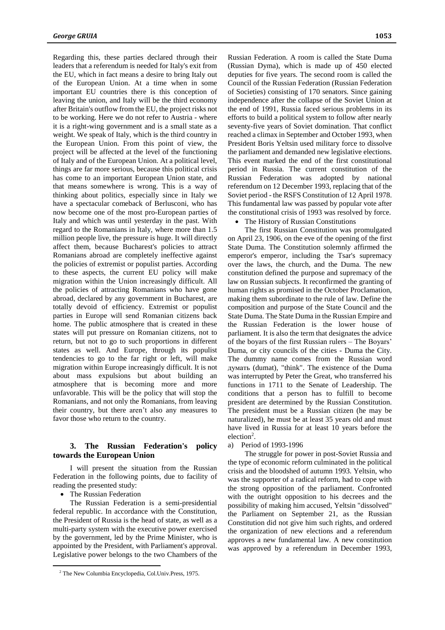Regarding this, these parties declared through their leaders that a referendum is needed for Italy's exit from the EU, which in fact means a desire to bring Italy out of the European Union. At a time when in some important EU countries there is this conception of leaving the union, and Italy will be the third economy after Britain's outflow from the EU, the project risks not to be working. Here we do not refer to Austria - where it is a right-wing government and is a small state as a weight. We speak of Italy, which is the third country in the European Union. From this point of view, the project will be affected at the level of the functioning of Italy and of the European Union. At a political level, things are far more serious, because this political crisis has come to an important European Union state, and that means somewhere is wrong. This is a way of thinking about politics, especially since in Italy we have a spectacular comeback of Berlusconi, who has now become one of the most pro-European parties of Italy and which was until yesterday in the past. With regard to the Romanians in Italy, where more than 1.5 million people live, the pressure is huge. It will directly affect them, because Bucharest's policies to attract Romanians abroad are completely ineffective against the policies of extremist or populist parties. According to these aspects, the current EU policy will make migration within the Union increasingly difficult. All the policies of attracting Romanians who have gone abroad, declared by any government in Bucharest, are totally devoid of efficiency. Extremist or populist parties in Europe will send Romanian citizens back home. The public atmosphere that is created in these states will put pressure on Romanian citizens, not to return, but not to go to such proportions in different states as well. And Europe, through its populist tendencies to go to the far right or left, will make migration within Europe increasingly difficult. It is not about mass expulsions but about building an atmosphere that is becoming more and more unfavorable. This will be the policy that will stop the Romanians, and not only the Romanians, from leaving their country, but there aren't also any measures to favor those who return to the country.

# **3. The Russian Federation's policy towards the European Union**

I will present the situation from the Russian Federation in the following points, due to facility of reading the presented study:

The Russian Federation

 $\overline{a}$ 

The Russian Federation is a semi-presidential federal republic. In accordance with the Constitution, the President of Russia is the head of state, as well as a multi-party system with the executive power exercised by the government, led by the Prime Minister, who is appointed by the President, with Parliament's approval. Legislative power belongs to the two Chambers of the Russian Federation. A room is called the State Duma (Russian Dyma), which is made up of 450 elected deputies for five years. The second room is called the Council of the Russian Federation (Russian Federation of Societies) consisting of 170 senators. Since gaining independence after the collapse of the Soviet Union at the end of 1991, Russia faced serious problems in its efforts to build a political system to follow after nearly seventy-five years of Soviet domination. That conflict reached a climax in September and October 1993, when President Boris Yeltsin used military force to dissolve the parliament and demanded new legislative elections. This event marked the end of the first constitutional period in Russia. The current constitution of the Russian Federation was adopted by national referendum on 12 December 1993, replacing that of the Soviet period - the RSFS Constitution of 12 April 1978. This fundamental law was passed by popular vote after the constitutional crisis of 1993 was resolved by force.

## The History of Russian Constitutions

The first Russian Constitution was promulgated on April 23, 1906, on the eve of the opening of the first State Duma. The Constitution solemnly affirmed the emperor's emperor, including the Tsar's supremacy over the laws, the church, and the Duma. The new constitution defined the purpose and supremacy of the law on Russian subjects. It reconfirmed the granting of human rights as promised in the October Proclamation, making them subordinate to the rule of law. Define the composition and purpose of the State Council and the State Duma. The State Duma in the Russian Empire and the Russian Federation is the lower house of parliament. It is also the term that designates the advice of the boyars of the first Russian rulers – The Boyars' Duma, or city councils of the cities - Duma the City. The dummy name comes from the Russian word думать (dumat), "think". The existence of the Duma was interrupted by Peter the Great, who transferred his functions in 1711 to the Senate of Leadership. The conditions that a person has to fulfill to become president are determined by the Russian Constitution. The president must be a Russian citizen (he may be naturalized), he must be at least 35 years old and must have lived in Russia for at least 10 years before the election<sup>2</sup>.

## a) Period of 1993-1996

The struggle for power in post-Soviet Russia and the type of economic reform culminated in the political crisis and the bloodshed of autumn 1993. Yeltsin, who was the supporter of a radical reform, had to cope with the strong opposition of the parliament. Confronted with the outright opposition to his decrees and the possibility of making him accused, Yeltsin "dissolved" the Parliament on September 21, as the Russian Constitution did not give him such rights, and ordered the organization of new elections and a referendum approves a new fundamental law. A new constitution was approved by a referendum in December 1993,

<sup>2</sup> The New Columbia Encyclopedia, Col.Univ.Press, 1975.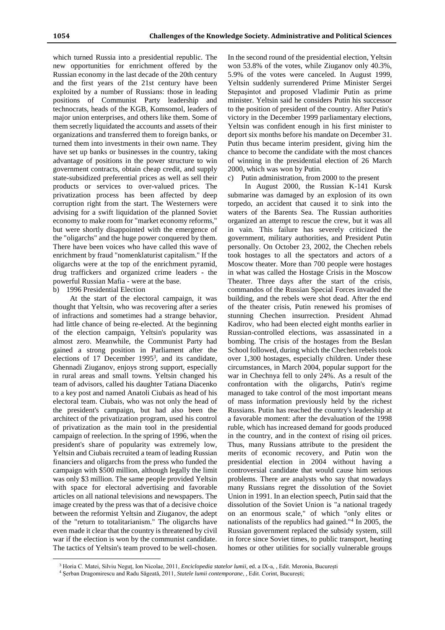which turned Russia into a presidential republic. The new opportunities for enrichment offered by the Russian economy in the last decade of the 20th century and the first years of the 21st century have been exploited by a number of Russians: those in leading positions of Communist Party leadership and technocrats, heads of the KGB, Komsomol, leaders of major union enterprises, and others like them. Some of them secretly liquidated the accounts and assets of their organizations and transferred them to foreign banks, or turned them into investments in their own name. They have set up banks or businesses in the country, taking advantage of positions in the power structure to win government contracts, obtain cheap credit, and supply state-subsidized preferential prices as well as sell their products or services to over-valued prices. The privatization process has been affected by deep corruption right from the start. The Westerners were advising for a swift liquidation of the planned Soviet economy to make room for "market economy reforms," but were shortly disappointed with the emergence of the "oligarchs" and the huge power conquered by them. There have been voices who have called this wave of enrichment by fraud "nomenklaturist capitalism." If the oligarchs were at the top of the enrichment pyramid, drug traffickers and organized crime leaders - the powerful Russian Mafia - were at the base.

#### b) 1996 Presidential Election

 $\overline{a}$ 

At the start of the electoral campaign, it was thought that Yeltsin, who was recovering after a series of infractions and sometimes had a strange behavior, had little chance of being re-elected. At the beginning of the election campaign, Yeltsin's popularity was almost zero. Meanwhile, the Communist Party had gained a strong position in Parliament after the elections of 17 December 1995<sup>3</sup>, and its candidate, Ghennadi Ziuganov, enjoys strong support, especially in rural areas and small towns. Yeltsin changed his team of advisors, called his daughter Tatiana Diacenko to a key post and named Anatoli Ciubais as head of his electoral team. Ciubais, who was not only the head of the president's campaign, but had also been the architect of the privatization program, used his control of privatization as the main tool in the presidential campaign of reelection. In the spring of 1996, when the president's share of popularity was extremely low, Yeltsin and Ciubais recruited a team of leading Russian financiers and oligarchs from the press who funded the campaign with \$500 million, although legally the limit was only \$3 million. The same people provided Yeltsin with space for electoral advertising and favorable articles on all national televisions and newspapers. The image created by the press was that of a decisive choice between the reformist Yeltsin and Ziuganov, the adept of the "return to totalitarianism." The oligarchs have even made it clear that the country is threatened by civil war if the election is won by the communist candidate. The tactics of Yeltsin's team proved to be well-chosen.

In the second round of the presidential election, Yeltsin won 53.8% of the votes, while Ziuganov only 40.3%, 5.9% of the votes were canceled. In August 1999, Yeltsin suddenly surrendered Prime Minister Sergei Stepaşintot and proposed Vladimir Putin as prime minister. Yeltsin said he considers Putin his successor to the position of president of the country. After Putin's victory in the December 1999 parliamentary elections, Yeltsin was confident enough in his first minister to deport six months before his mandate on December 31. Putin thus became interim president, giving him the chance to become the candidate with the most chances of winning in the presidential election of 26 March 2000, which was won by Putin.

#### c) Putin administration, from 2000 to the present

In August 2000, the Russian K-141 Kursk submarine was damaged by an explosion of its own torpedo, an accident that caused it to sink into the waters of the Barents Sea. The Russian authorities organized an attempt to rescue the crew, but it was all in vain. This failure has severely criticized the government, military authorities, and President Putin personally. On October 23, 2002, the Chechen rebels took hostages to all the spectators and actors of a Moscow theater. More than 700 people were hostages in what was called the Hostage Crisis in the Moscow Theater. Three days after the start of the crisis, commandos of the Russian Special Forces invaded the building, and the rebels were shot dead. After the end of the theater crisis, Putin renewed his promises of stunning Chechen insurrection. President Ahmad Kadirov, who had been elected eight months earlier in Russian-controlled elections, was assassinated in a bombing. The crisis of the hostages from the Beslan School followed, during which the Chechen rebels took over 1,300 hostages, especially children. Under these circumstances, in March 2004, popular support for the war in Chechnya fell to only 24%. As a result of the confrontation with the oligarchs, Putin's regime managed to take control of the most important means of mass information previously held by the richest Russians. Putin has reached the country's leadership at a favorable moment: after the devaluation of the 1998 ruble, which has increased demand for goods produced in the country, and in the context of rising oil prices. Thus, many Russians attribute to the president the merits of economic recovery, and Putin won the presidential election in 2004 without having a controversial candidate that would cause him serious problems. There are analysts who say that nowadays many Russians regret the dissolution of the Soviet Union in 1991. In an election speech, Putin said that the dissolution of the Soviet Union is "a national tragedy on an enormous scale," of which "only elites or nationalists of the republics had gained." 4 In 2005, the Russian government replaced the subsidy system, still in force since Soviet times, to public transport, heating homes or other utilities for socially vulnerable groups

<sup>3</sup> Horia C. Matei, Silviu Neguț, Ion Nicolae, 2011, *Enciclopedia statelor lumii*, ed. a IX-a, , Edit. Meronia, București

<sup>4</sup> Șerban Dragomirescu and Radu Săgeată, 2011*, Statele lumii contemporane*, , Edit. Corint, București;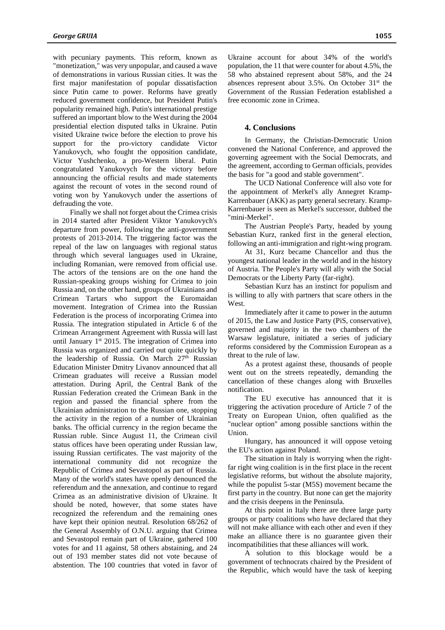with pecuniary payments. This reform, known as "monetization," was very unpopular, and caused a wave of demonstrations in various Russian cities. It was the first major manifestation of popular dissatisfaction since Putin came to power. Reforms have greatly reduced government confidence, but President Putin's popularity remained high. Putin's international prestige suffered an important blow to the West during the 2004 presidential election disputed talks in Ukraine. Putin visited Ukraine twice before the election to prove his support for the pro-victory candidate Victor Yanukovych, who fought the opposition candidate, Victor Yushchenko, a pro-Western liberal. Putin congratulated Yanukovych for the victory before announcing the official results and made statements against the recount of votes in the second round of voting won by Yanukovych under the assertions of defrauding the vote.

Finally we shall not forget about the Crimea crisis in 2014 started after President Viktor Yanukovych's departure from power, following the anti-government protests of 2013-2014. The triggering factor was the repeal of the law on languages with regional status through which several languages used in Ukraine, including Romanian, were removed from official use. The actors of the tensions are on the one hand the Russian-speaking groups wishing for Crimea to join Russia and, on the other hand, groups of Ukrainians and Crimean Tartars who support the Euromaidan movement. Integration of Crimea into the Russian Federation is the process of incorporating Crimea into Russia. The integration stipulated in Article 6 of the Crimean Arrangement Agreement with Russia will last until January  $1<sup>st</sup>$  2015. The integration of Crimea into Russia was organized and carried out quite quickly by the leadership of Russia. On March 27th Russian Education Minister Dmitry Livanov announced that all Crimean graduates will receive a Russian model attestation. During April, the Central Bank of the Russian Federation created the Crimean Bank in the region and passed the financial sphere from the Ukrainian administration to the Russian one, stopping the activity in the region of a number of Ukrainian banks. The official currency in the region became the Russian ruble. Since August 11, the Crimean civil status offices have been operating under Russian law, issuing Russian certificates. The vast majority of the international community did not recognize the Republic of Crimea and Sevastopol as part of Russia. Many of the world's states have openly denounced the referendum and the annexation, and continue to regard Crimea as an administrative division of Ukraine. It should be noted, however, that some states have recognized the referendum and the remaining ones have kept their opinion neutral. Resolution 68/262 of the General Assembly of O.N.U. arguing that Crimea and Sevastopol remain part of Ukraine, gathered 100 votes for and 11 against, 58 others abstaining, and 24 out of 193 member states did not vote because of abstention. The 100 countries that voted in favor of

Ukraine account for about 34% of the world's population, the 11 that were counter for about 4.5%, the 58 who abstained represent about 58%, and the 24 absences represent about 3.5%. On October 31<sup>st</sup> the

### **4. Conclusions**

free economic zone in Crimea.

In Germany, the Christian-Democratic Union convened the National Conference, and approved the governing agreement with the Social Democrats, and the agreement, according to German officials, provides the basis for "a good and stable government".

Government of the Russian Federation established a

The UCD National Conference will also vote for the appointment of Merkel's ally Annegret Kramp-Karrenbauer (AKK) as party general secretary. Kramp-Karrenbauer is seen as Merkel's successor, dubbed the "mini-Merkel".

The Austrian People's Party, headed by young Sebastian Kurz, ranked first in the general election, following an anti-immigration and right-wing program.

At 31, Kurz became Chancellor and thus the youngest national leader in the world and in the history of Austria. The People's Party will ally with the Social Democrats or the Liberty Party (far-right).

Sebastian Kurz has an instinct for populism and is willing to ally with partners that scare others in the West.

Immediately after it came to power in the autumn of 2015, the Law and Justice Party (PiS, conservative), governed and majority in the two chambers of the Warsaw legislature, initiated a series of judiciary reforms considered by the Commission European as a threat to the rule of law.

As a protest against these, thousands of people went out on the streets repeatedly, demanding the cancellation of these changes along with Bruxelles notification.

The EU executive has announced that it is triggering the activation procedure of Article 7 of the Treaty on European Union, often qualified as the "nuclear option" among possible sanctions within the Union.

Hungary, has announced it will oppose vetoing the EU's action against Poland.

The situation in Italy is worrying when the rightfar right wing coalition is in the first place in the recent legislative reforms, but without the absolute majority, while the populist 5-star (M5S) movement became the first party in the country. But none can get the majority and the crisis deepens in the Peninsula.

At this point in Italy there are three large party groups or party coalitions who have declared that they will not make alliance with each other and even if they make an alliance there is no guarantee given their incompatibilities that these alliances will work.

A solution to this blockage would be a government of technocrats chaired by the President of the Republic, which would have the task of keeping